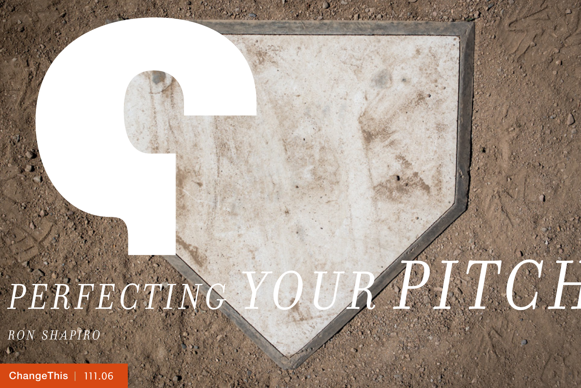# *PERFECTING YOUR PITCH*

*r o n s h a p i r o*

[ChangeThis](http://changethis.com) | 111.06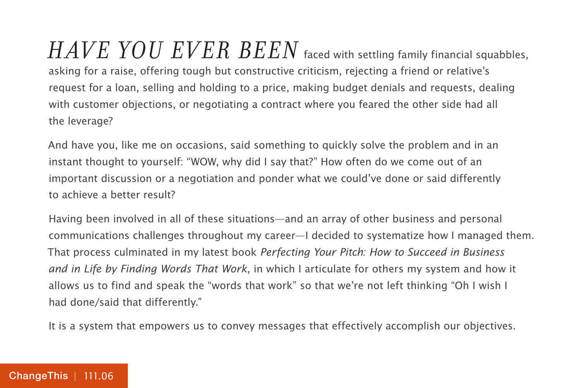*HAVE YOU EVER BEEN* faced with settling family financial squabbles, asking for a raise, offering tough but constructive criticism, rejecting a friend or relative's request for a loan, selling and holding to a price, making budget denials and requests, dealing with customer objections, or negotiating a contract where you feared the other side had all the leverage?

And have you, like me on occasions, said something to quickly solve the problem and in an instant thought to yourself: "WOW, why did I say that?" How often do we come out of an important discussion or a negotiation and ponder what we could've done or said differently to achieve a better result?

Having been involved in all of these situations—and an array of other business and personal communications challenges throughout my career—I decided to systematize how I managed them. That process culminated in my latest book Perfecting Your Pitch: How to Succeed in Business and in Life by Finding Words That Work, in which I articulate for others my system and how it allows us to find and speak the "words that work" so that we're not left thinking "Oh I wish I had done/said that differently."

It is a system that empowers us to convey messages that effectively accomplish our objectives.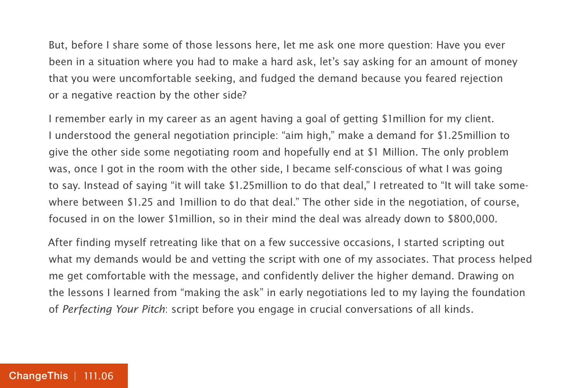But, before I share some of those lessons here, let me ask one more question: Have you ever been in a situation where you had to make a hard ask, let's say asking for an amount of money that you were uncomfortable seeking, and fudged the demand because you feared rejection or a negative reaction by the other side?

I remember early in my career as an agent having a goal of getting \$1million for my client. I understood the general negotiation principle: "aim high," make a demand for \$1.25million to give the other side some negotiating room and hopefully end at \$1 Million. The only problem was, once I got in the room with the other side, I became self-conscious of what I was going to say. Instead of saying "it will take \$1.25million to do that deal," I retreated to "It will take somewhere between \$1.25 and 1million to do that deal." The other side in the negotiation, of course, focused in on the lower \$1million, so in their mind the deal was already down to \$800,000.

After finding myself retreating like that on a few successive occasions, I started scripting out what my demands would be and vetting the script with one of my associates. That process helped me get comfortable with the message, and confidently deliver the higher demand. Drawing on the lessons I learned from "making the ask" in early negotiations led to my laying the foundation of Perfecting Your Pitch: script before you engage in crucial conversations of all kinds.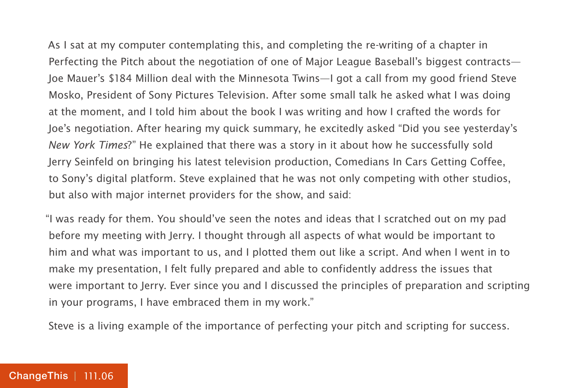As I sat at my computer contemplating this, and completing the re-writing of a chapter in Perfecting the Pitch about the negotiation of one of Major League Baseball's biggest contracts— Joe Mauer's \$184 Million deal with the Minnesota Twins—I got a call from my good friend Steve Mosko, President of Sony Pictures Television. After some small talk he asked what I was doing at the moment, and I told him about the book I was writing and how I crafted the words for Joe's negotiation. After hearing my quick summary, he excitedly asked "Did you see yesterday's New York Times?" He explained that there was a story in it about how he successfully sold Jerry Seinfeld on bringing his latest television production, Comedians In Cars Getting Coffee, to Sony's digital platform. Steve explained that he was not only competing with other studios, but also with major internet providers for the show, and said:

"I was ready for them. You should've seen the notes and ideas that I scratched out on my pad before my meeting with Jerry. I thought through all aspects of what would be important to him and what was important to us, and I plotted them out like a script. And when I went in to make my presentation, I felt fully prepared and able to confidently address the issues that were important to Jerry. Ever since you and I discussed the principles of preparation and scripting in your programs, I have embraced them in my work."

Steve is a living example of the importance of perfecting your pitch and scripting for success.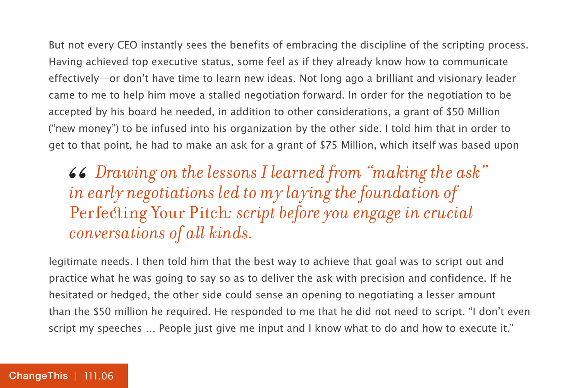But not every CEO instantly sees the benefits of embracing the discipline of the scripting process. Having achieved top executive status, some feel as if they already know how to communicate effectively—or don't have time to learn new ideas. Not long ago a brilliant and visionary leader came to me to help him move a stalled negotiation forward. In order for the negotiation to be accepted by his board he needed, in addition to other considerations, a grant of \$50 Million ("new money") to be infused into his organization by the other side. I told him that in order to get to that point, he had to make an ask for a grant of \$75 Million, which itself was based upon

#### *Drawing on the lessons I learned from "making the ask" in early negotiations led to my laying the foundation of*  Perfecting Your Pitch*: script before you engage in crucial conversations of all kinds.* 66<br>*in*<br>Pe

legitimate needs. I then told him that the best way to achieve that goal was to script out and practice what he was going to say so as to deliver the ask with precision and confidence. If he hesitated or hedged, the other side could sense an opening to negotiating a lesser amount than the \$50 million he required. He responded to me that he did not need to script. "I don't even script my speeches … People just give me input and I know what to do and how to execute it."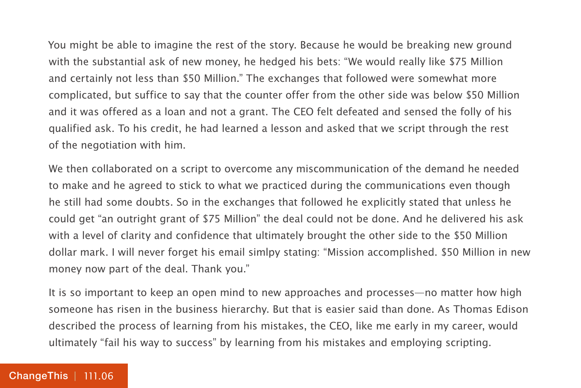You might be able to imagine the rest of the story. Because he would be breaking new ground with the substantial ask of new money, he hedged his bets: "We would really like \$75 Million and certainly not less than \$50 Million." The exchanges that followed were somewhat more complicated, but suffice to say that the counter offer from the other side was below \$50 Million and it was offered as a loan and not a grant. The CEO felt defeated and sensed the folly of his qualified ask. To his credit, he had learned a lesson and asked that we script through the rest of the negotiation with him.

We then collaborated on a script to overcome any miscommunication of the demand he needed to make and he agreed to stick to what we practiced during the communications even though he still had some doubts. So in the exchanges that followed he explicitly stated that unless he could get "an outright grant of \$75 Million" the deal could not be done. And he delivered his ask with a level of clarity and confidence that ultimately brought the other side to the \$50 Million dollar mark. I will never forget his email simlpy stating: "Mission accomplished. \$50 Million in new money now part of the deal. Thank you."

It is so important to keep an open mind to new approaches and processes—no matter how high someone has risen in the business hierarchy. But that is easier said than done. As Thomas Edison described the process of learning from his mistakes, the CEO, like me early in my career, would ultimately "fail his way to success" by learning from his mistakes and employing scripting.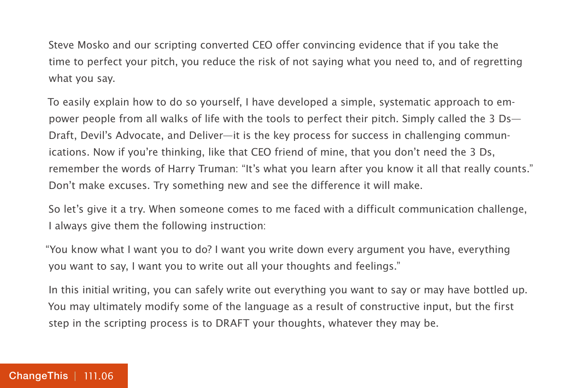Steve Mosko and our scripting converted CEO offer convincing evidence that if you take the time to perfect your pitch, you reduce the risk of not saying what you need to, and of regretting what you say.

To easily explain how to do so yourself, I have developed a simple, systematic approach to empower people from all walks of life with the tools to perfect their pitch. Simply called the 3 Ds— Draft, Devil's Advocate, and Deliver—it is the key process for success in challenging communications. Now if you're thinking, like that CEO friend of mine, that you don't need the 3 Ds, remember the words of Harry Truman: "It's what you learn after you know it all that really counts." Don't make excuses. Try something new and see the difference it will make.

So let's give it a try. When someone comes to me faced with a difficult communication challenge, I always give them the following instruction:

"You know what I want you to do? I want you write down every argument you have, everything you want to say, I want you to write out all your thoughts and feelings."

In this initial writing, you can safely write out everything you want to say or may have bottled up. You may ultimately modify some of the language as a result of constructive input, but the first step in the scripting process is to DRAFT your thoughts, whatever they may be.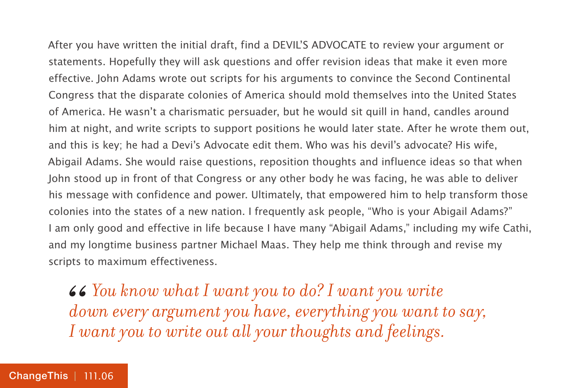After you have written the initial draft, find a DEVIL'S ADVOCATE to review your argument or statements. Hopefully they will ask questions and offer revision ideas that make it even more effective. John Adams wrote out scripts for his arguments to convince the Second Continental Congress that the disparate colonies of America should mold themselves into the United States of America. He wasn't a charismatic persuader, but he would sit quill in hand, candles around him at night, and write scripts to support positions he would later state. After he wrote them out, and this is key; he had a Devi's Advocate edit them. Who was his devil's advocate? His wife, Abigail Adams. She would raise questions, reposition thoughts and influence ideas so that when John stood up in front of that Congress or any other body he was facing, he was able to deliver his message with confidence and power. Ultimately, that empowered him to help transform those colonies into the states of a new nation. I frequently ask people, "Who is your Abigail Adams?" I am only good and effective in life because I have many "Abigail Adams," including my wife Cathi, and my longtime business partner Michael Maas. They help me think through and revise my scripts to maximum effectiveness.

*You know what I want you to do? I want you write down every argument you have, everything you want t* I want you to write out all your thoughts and feelings. *down every argument you have, everything you want to say, I want you to write out all your thoughts and feelings.*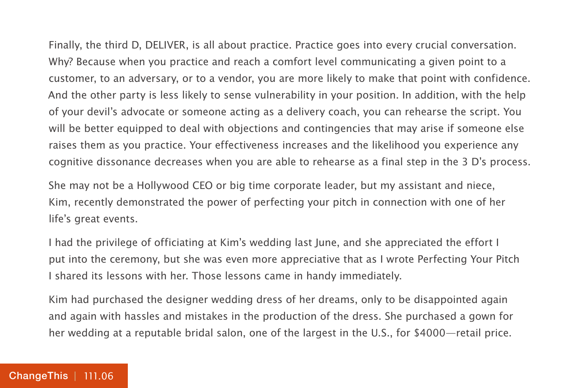Finally, the third D, DELIVER, is all about practice. Practice goes into every crucial conversation. Why? Because when you practice and reach a comfort level communicating a given point to a customer, to an adversary, or to a vendor, you are more likely to make that point with confidence. And the other party is less likely to sense vulnerability in your position. In addition, with the help of your devil's advocate or someone acting as a delivery coach, you can rehearse the script. You will be better equipped to deal with objections and contingencies that may arise if someone else raises them as you practice. Your effectiveness increases and the likelihood you experience any cognitive dissonance decreases when you are able to rehearse as a final step in the 3 D's process.

She may not be a Hollywood CEO or big time corporate leader, but my assistant and niece, Kim, recently demonstrated the power of perfecting your pitch in connection with one of her life's great events.

I had the privilege of officiating at Kim's wedding last June, and she appreciated the effort I put into the ceremony, but she was even more appreciative that as I wrote Perfecting Your Pitch I shared its lessons with her. Those lessons came in handy immediately.

Kim had purchased the designer wedding dress of her dreams, only to be disappointed again and again with hassles and mistakes in the production of the dress. She purchased a gown for her wedding at a reputable bridal salon, one of the largest in the U.S., for \$4000—retail price.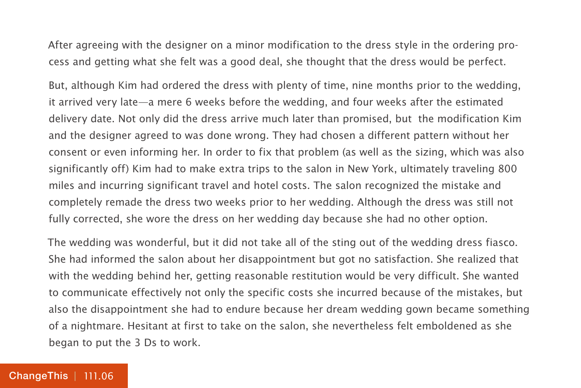After agreeing with the designer on a minor modification to the dress style in the ordering process and getting what she felt was a good deal, she thought that the dress would be perfect.

But, although Kim had ordered the dress with plenty of time, nine months prior to the wedding, it arrived very late—a mere 6 weeks before the wedding, and four weeks after the estimated delivery date. Not only did the dress arrive much later than promised, but the modification Kim and the designer agreed to was done wrong. They had chosen a different pattern without her consent or even informing her. In order to fix that problem (as well as the sizing, which was also significantly off) Kim had to make extra trips to the salon in New York, ultimately traveling 800 miles and incurring significant travel and hotel costs. The salon recognized the mistake and completely remade the dress two weeks prior to her wedding. Although the dress was still not fully corrected, she wore the dress on her wedding day because she had no other option.

The wedding was wonderful, but it did not take all of the sting out of the wedding dress fiasco. She had informed the salon about her disappointment but got no satisfaction. She realized that with the wedding behind her, getting reasonable restitution would be very difficult. She wanted to communicate effectively not only the specific costs she incurred because of the mistakes, but also the disappointment she had to endure because her dream wedding gown became something of a nightmare. Hesitant at first to take on the salon, she nevertheless felt emboldened as she began to put the 3 Ds to work.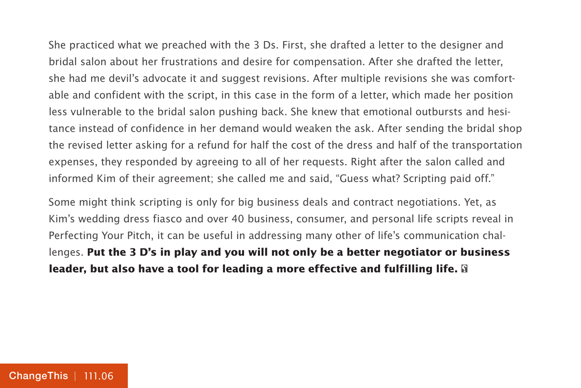She practiced what we preached with the 3 Ds. First, she drafted a letter to the designer and bridal salon about her frustrations and desire for compensation. After she drafted the letter, she had me devil's advocate it and suggest revisions. After multiple revisions she was comfortable and confident with the script, in this case in the form of a letter, which made her position less vulnerable to the bridal salon pushing back. She knew that emotional outbursts and hesitance instead of confidence in her demand would weaken the ask. After sending the bridal shop the revised letter asking for a refund for half the cost of the dress and half of the transportation expenses, they responded by agreeing to all of her requests. Right after the salon called and informed Kim of their agreement; she called me and said, "Guess what? Scripting paid off."

Some might think scripting is only for big business deals and contract negotiations. Yet, as Kim's wedding dress fiasco and over 40 business, consumer, and personal life scripts reveal in Perfecting Your Pitch, it can be useful in addressing many other of life's communication challenges. **Put the 3 D's in play and you will not only be a better negotiator or business leader, but also have a tool for leading a more effective and fulfilling life.**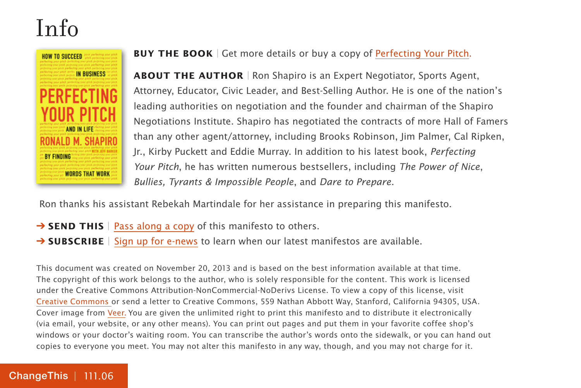### Info



**BUY THE BOOK** | Get more details or buy a copy of [Perfecting Your Pitch.](http://800ceoread.com/products/perfecting_your_pitch-jeff_barker_ronald_m_shapiro-english)

**ABOUT THE AUTHOR** | Ron Shapiro is an Expert Negotiator, Sports Agent, Attorney, Educator, Civic Leader, and Best-Selling Author. He is one of the nation's leading authorities on negotiation and the founder and chairman of the Shapiro Negotiations Institute. Shapiro has negotiated the contracts of more Hall of Famers than any other agent/attorney, including Brooks Robinson, Jim Palmer, Cal Ripken, Jr., Kirby Puckett and Eddie Murray. In addition to his latest book, Perfecting Your Pitch, he has written numerous bestsellers, including The Power of Nice, Bullies, Tyrants & Impossible People, and Dare to Prepare.

Ron thanks his assistant Rebekah Martindale for her assistance in preparing this manifesto.

- **→ SEND THIS** | [Pass along a copy](http://www.changethis.com/111.06.PerfectingYourPitch/email) of this manifesto to others.
- **→ SUBSCRIBE** | Sign up fo[r e-news](http://changethis.com/page/show/e_mail_newsletter) to learn when our latest manifestos are available.

This document was created on November 20, 2013 and is based on the best information available at that time. The copyright of this work belongs to the author, who is solely responsible for the content. This work is licensed under the Creative Commons Attribution-NonCommercial-NoDerivs License. To view a copy of this license, visit [Creative Commons](http://creativecommons.org/licenses/by-nc-nd/2.0/) or send a letter to Creative Commons, 559 Nathan Abbott Way, Stanford, California 94305, USA. Cover image from [Veer.](http://www.veer.com/) You are given the unlimited right to print this manifesto and to distribute it electronically (via email, your website, or any other means). You can print out pages and put them in your favorite coffee shop's windows or your doctor's waiting room. You can transcribe the author's words onto the sidewalk, or you can hand out copies to everyone you meet. You may not alter this manifesto in any way, though, and you may not charge for it.

#### [ChangeThis](http://changethis.com) | 111.06